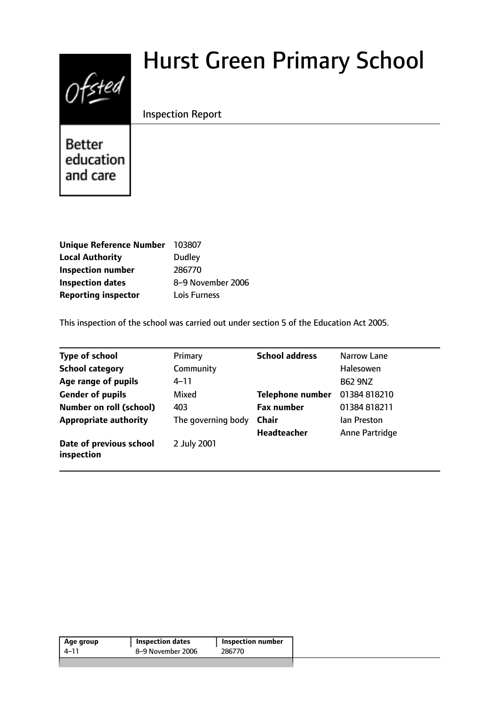# Ofsted

# Hurst Green Primary School

# Inspection Report

Better education and care

| <b>Unique Reference Number</b> | 103807            |
|--------------------------------|-------------------|
| <b>Local Authority</b>         | <b>Dudley</b>     |
| <b>Inspection number</b>       | 286770            |
| <b>Inspection dates</b>        | 8-9 November 2006 |
| <b>Reporting inspector</b>     | Lois Furness      |

This inspection of the school was carried out under section 5 of the Education Act 2005.

| <b>Type of school</b>                 | Primary            | <b>School address</b>   | Narrow Lane    |
|---------------------------------------|--------------------|-------------------------|----------------|
| <b>School category</b>                | Community          |                         | Halesowen      |
| Age range of pupils                   | 4–11               |                         | <b>B62 9NZ</b> |
| <b>Gender of pupils</b>               | Mixed              | <b>Telephone number</b> | 01384 818210   |
| Number on roll (school)               | 403                | <b>Fax number</b>       | 01384 818211   |
| <b>Appropriate authority</b>          | The governing body | <b>Chair</b>            | lan Preston    |
|                                       |                    | Headteacher             | Anne Partridge |
| Date of previous school<br>inspection | 2 July 2001        |                         |                |

| Age group | <b>Inspection dates</b> | Inspection number |
|-----------|-------------------------|-------------------|
| 4–11      | 8–9 November 2006       | 286770            |
|           |                         |                   |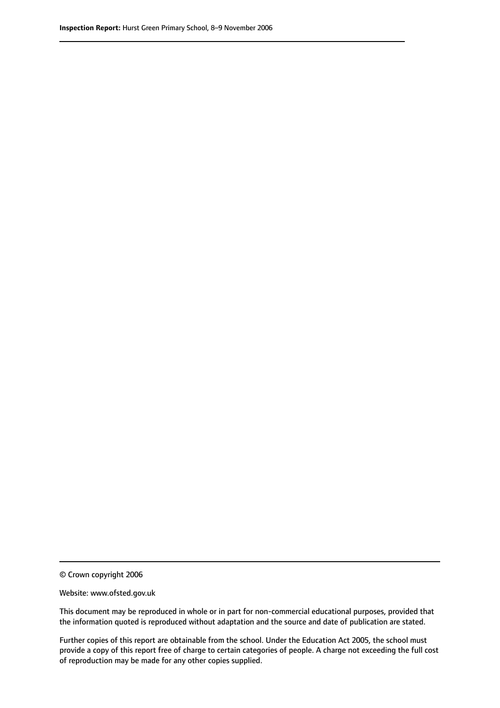© Crown copyright 2006

Website: www.ofsted.gov.uk

This document may be reproduced in whole or in part for non-commercial educational purposes, provided that the information quoted is reproduced without adaptation and the source and date of publication are stated.

Further copies of this report are obtainable from the school. Under the Education Act 2005, the school must provide a copy of this report free of charge to certain categories of people. A charge not exceeding the full cost of reproduction may be made for any other copies supplied.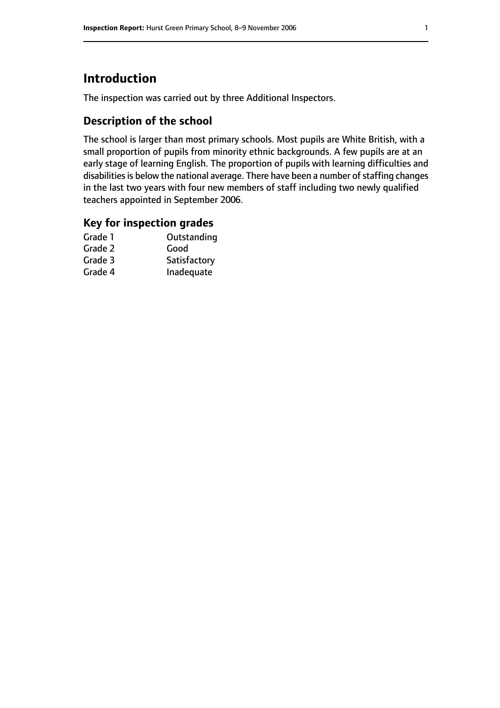# **Introduction**

The inspection was carried out by three Additional Inspectors.

### **Description of the school**

The school is larger than most primary schools. Most pupils are White British, with a small proportion of pupils from minority ethnic backgrounds. A few pupils are at an early stage of learning English. The proportion of pupils with learning difficulties and disabilities is below the national average. There have been a number of staffing changes in the last two years with four new members of staff including two newly qualified teachers appointed in September 2006.

#### **Key for inspection grades**

| Outstanding  |
|--------------|
| Good         |
| Satisfactory |
| Inadequate   |
|              |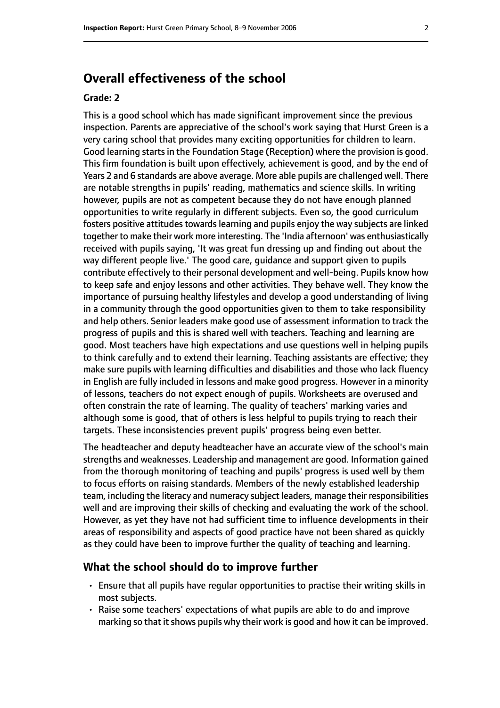# **Overall effectiveness of the school**

#### **Grade: 2**

This is a good school which has made significant improvement since the previous inspection. Parents are appreciative of the school's work saying that Hurst Green is a very caring school that provides many exciting opportunities for children to learn. Good learning starts in the Foundation Stage (Reception) where the provision is good. This firm foundation is built upon effectively, achievement is good, and by the end of Years 2 and 6 standards are above average. More able pupils are challenged well. There are notable strengths in pupils' reading, mathematics and science skills. In writing however, pupils are not as competent because they do not have enough planned opportunities to write regularly in different subjects. Even so, the good curriculum fosters positive attitudes towards learning and pupils enjoy the way subjects are linked together to make their work more interesting. The 'India afternoon' was enthusiastically received with pupils saying, 'It was great fun dressing up and finding out about the way different people live.' The good care, guidance and support given to pupils contribute effectively to their personal development and well-being. Pupils know how to keep safe and enjoy lessons and other activities. They behave well. They know the importance of pursuing healthy lifestyles and develop a good understanding of living in a community through the good opportunities given to them to take responsibility and help others. Senior leaders make good use of assessment information to track the progress of pupils and this is shared well with teachers. Teaching and learning are good. Most teachers have high expectations and use questions well in helping pupils to think carefully and to extend their learning. Teaching assistants are effective; they make sure pupils with learning difficulties and disabilities and those who lack fluency in English are fully included in lessons and make good progress. However in a minority of lessons, teachers do not expect enough of pupils. Worksheets are overused and often constrain the rate of learning. The quality of teachers' marking varies and although some is good, that of others is less helpful to pupils trying to reach their targets. These inconsistencies prevent pupils' progress being even better.

The headteacher and deputy headteacher have an accurate view of the school's main strengths and weaknesses. Leadership and management are good. Information gained from the thorough monitoring of teaching and pupils' progress is used well by them to focus efforts on raising standards. Members of the newly established leadership team, including the literacy and numeracy subject leaders, manage their responsibilities well and are improving their skills of checking and evaluating the work of the school. However, as yet they have not had sufficient time to influence developments in their areas of responsibility and aspects of good practice have not been shared as quickly as they could have been to improve further the quality of teaching and learning.

#### **What the school should do to improve further**

- Ensure that all pupils have regular opportunities to practise their writing skills in most subjects.
- Raise some teachers' expectations of what pupils are able to do and improve marking so that it shows pupils why their work is good and how it can be improved.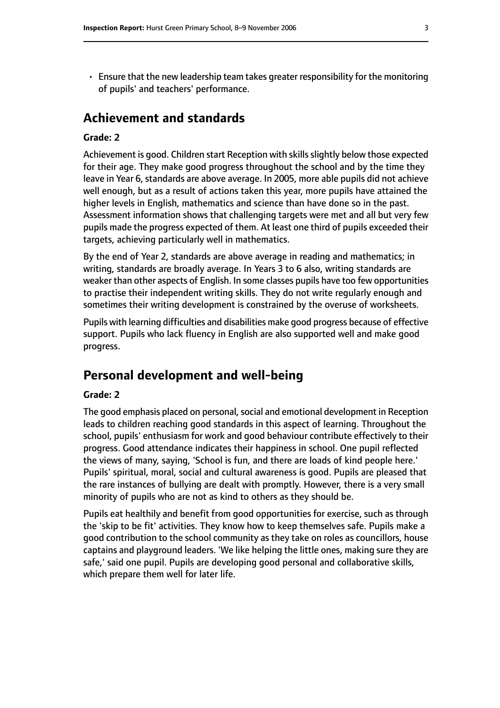• Ensure that the new leadership team takes greater responsibility for the monitoring of pupils' and teachers' performance.

# **Achievement and standards**

#### **Grade: 2**

Achievement is good. Children start Reception with skills slightly below those expected for their age. They make good progress throughout the school and by the time they leave in Year 6, standards are above average. In 2005, more able pupils did not achieve well enough, but as a result of actions taken this year, more pupils have attained the higher levels in English, mathematics and science than have done so in the past. Assessment information shows that challenging targets were met and all but very few pupils made the progress expected of them. At least one third of pupils exceeded their targets, achieving particularly well in mathematics.

By the end of Year 2, standards are above average in reading and mathematics; in writing, standards are broadly average. In Years 3 to 6 also, writing standards are weaker than other aspects of English. In some classes pupils have too few opportunities to practise their independent writing skills. They do not write regularly enough and sometimes their writing development is constrained by the overuse of worksheets.

Pupils with learning difficulties and disabilities make good progress because of effective support. Pupils who lack fluency in English are also supported well and make good progress.

# **Personal development and well-being**

#### **Grade: 2**

The good emphasis placed on personal, social and emotional development in Reception leads to children reaching good standards in this aspect of learning. Throughout the school, pupils' enthusiasm for work and good behaviour contribute effectively to their progress. Good attendance indicates their happiness in school. One pupil reflected the views of many, saying, 'School is fun, and there are loads of kind people here.' Pupils' spiritual, moral, social and cultural awareness is good. Pupils are pleased that the rare instances of bullying are dealt with promptly. However, there is a very small minority of pupils who are not as kind to others as they should be.

Pupils eat healthily and benefit from good opportunities for exercise, such as through the 'skip to be fit' activities. They know how to keep themselves safe. Pupils make a good contribution to the school community as they take on roles as councillors, house captains and playground leaders. 'We like helping the little ones, making sure they are safe,' said one pupil. Pupils are developing good personal and collaborative skills, which prepare them well for later life.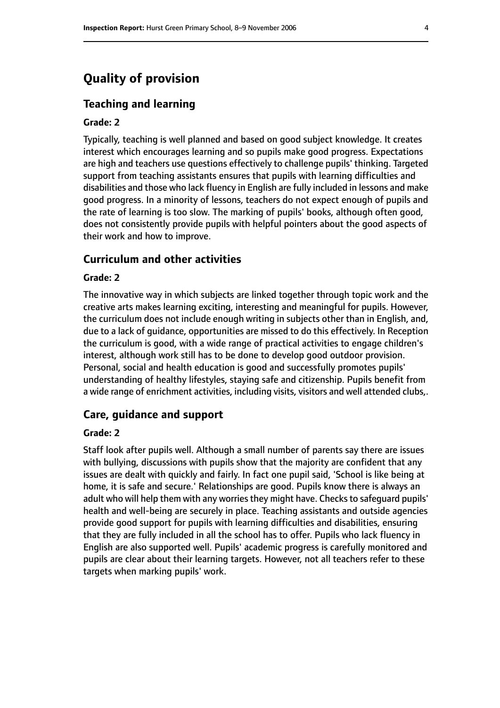# **Quality of provision**

#### **Teaching and learning**

#### **Grade: 2**

Typically, teaching is well planned and based on good subject knowledge. It creates interest which encourages learning and so pupils make good progress. Expectations are high and teachers use questions effectively to challenge pupils' thinking. Targeted support from teaching assistants ensures that pupils with learning difficulties and disabilities and those who lack fluency in English are fully included in lessons and make good progress. In a minority of lessons, teachers do not expect enough of pupils and the rate of learning is too slow. The marking of pupils' books, although often good, does not consistently provide pupils with helpful pointers about the good aspects of their work and how to improve.

#### **Curriculum and other activities**

#### **Grade: 2**

The innovative way in which subjects are linked together through topic work and the creative arts makes learning exciting, interesting and meaningful for pupils. However, the curriculum does not include enough writing in subjects other than in English, and, due to a lack of guidance, opportunities are missed to do this effectively. In Reception the curriculum is good, with a wide range of practical activities to engage children's interest, although work still has to be done to develop good outdoor provision. Personal, social and health education is good and successfully promotes pupils' understanding of healthy lifestyles, staying safe and citizenship. Pupils benefit from a wide range of enrichment activities, including visits, visitors and well attended clubs,.

#### **Care, guidance and support**

#### **Grade: 2**

Staff look after pupils well. Although a small number of parents say there are issues with bullying, discussions with pupils show that the majority are confident that any issues are dealt with quickly and fairly. In fact one pupil said, 'School is like being at home, it is safe and secure.' Relationships are good. Pupils know there is always an adult who will help them with any worries they might have. Checks to safeguard pupils' health and well-being are securely in place. Teaching assistants and outside agencies provide good support for pupils with learning difficulties and disabilities, ensuring that they are fully included in all the school has to offer. Pupils who lack fluency in English are also supported well. Pupils' academic progress is carefully monitored and pupils are clear about their learning targets. However, not all teachers refer to these targets when marking pupils' work.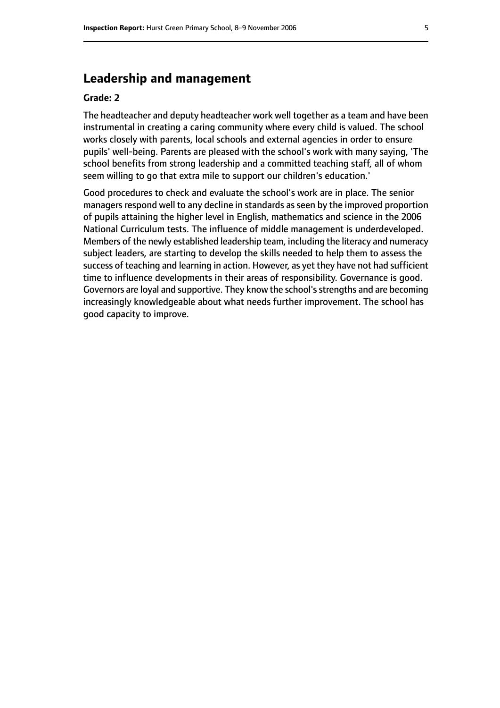# **Leadership and management**

#### **Grade: 2**

The headteacher and deputy headteacher work well together as a team and have been instrumental in creating a caring community where every child is valued. The school works closely with parents, local schools and external agencies in order to ensure pupils' well-being. Parents are pleased with the school's work with many saying, 'The school benefits from strong leadership and a committed teaching staff, all of whom seem willing to go that extra mile to support our children's education.'

Good procedures to check and evaluate the school's work are in place. The senior managers respond well to any decline in standards as seen by the improved proportion of pupils attaining the higher level in English, mathematics and science in the 2006 National Curriculum tests. The influence of middle management is underdeveloped. Members of the newly established leadership team, including the literacy and numeracy subject leaders, are starting to develop the skills needed to help them to assess the success of teaching and learning in action. However, as yet they have not had sufficient time to influence developments in their areas of responsibility. Governance is good. Governors are loyal and supportive. They know the school'sstrengths and are becoming increasingly knowledgeable about what needs further improvement. The school has good capacity to improve.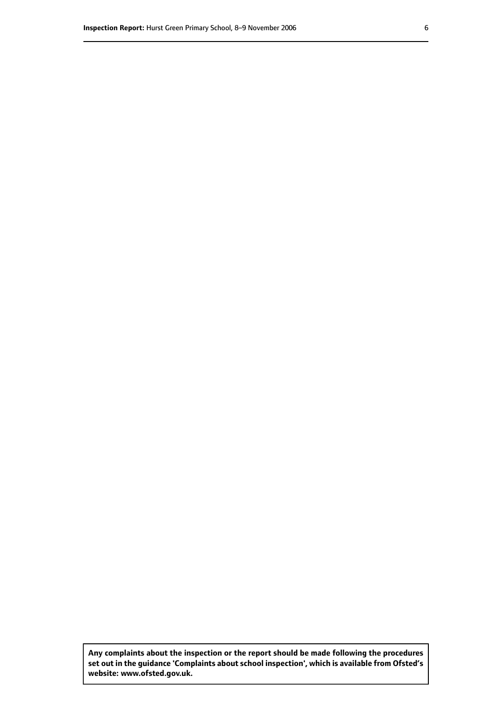**Any complaints about the inspection or the report should be made following the procedures set out inthe guidance 'Complaints about school inspection', whichis available from Ofsted's website: www.ofsted.gov.uk.**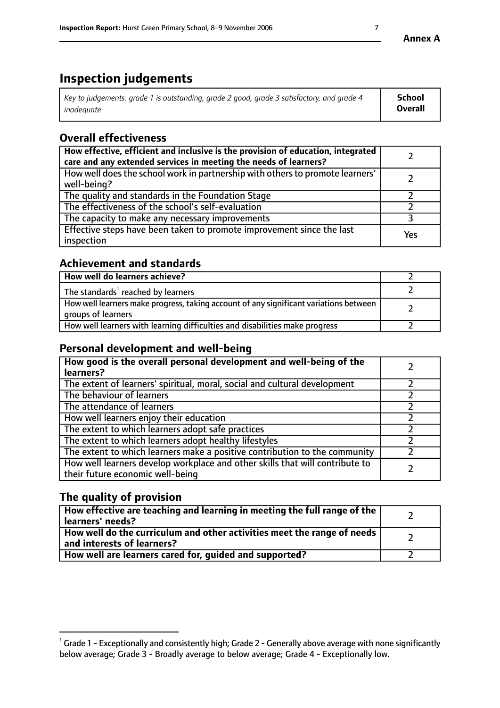# **Inspection judgements**

| Key to judgements: grade 1 is outstanding, grade 2 good, grade 3 satisfactory, and grade 4 | <b>School</b>  |
|--------------------------------------------------------------------------------------------|----------------|
| inadeauate                                                                                 | <b>Overall</b> |

# **Overall effectiveness**

| How effective, efficient and inclusive is the provision of education, integrated<br>care and any extended services in meeting the needs of learners? |     |
|------------------------------------------------------------------------------------------------------------------------------------------------------|-----|
| How well does the school work in partnership with others to promote learners'<br>well-being?                                                         |     |
| The quality and standards in the Foundation Stage                                                                                                    |     |
| The effectiveness of the school's self-evaluation                                                                                                    |     |
| The capacity to make any necessary improvements                                                                                                      |     |
| Effective steps have been taken to promote improvement since the last<br>inspection                                                                  | Yes |

## **Achievement and standards**

| How well do learners achieve?                                                                               |  |
|-------------------------------------------------------------------------------------------------------------|--|
| The standards <sup>1</sup> reached by learners                                                              |  |
| How well learners make progress, taking account of any significant variations between<br>groups of learners |  |
| How well learners with learning difficulties and disabilities make progress                                 |  |

# **Personal development and well-being**

| How good is the overall personal development and well-being of the<br>learners?                                  |  |
|------------------------------------------------------------------------------------------------------------------|--|
| The extent of learners' spiritual, moral, social and cultural development                                        |  |
| The behaviour of learners                                                                                        |  |
| The attendance of learners                                                                                       |  |
| How well learners enjoy their education                                                                          |  |
| The extent to which learners adopt safe practices                                                                |  |
| The extent to which learners adopt healthy lifestyles                                                            |  |
| The extent to which learners make a positive contribution to the community                                       |  |
| How well learners develop workplace and other skills that will contribute to<br>their future economic well-being |  |

# **The quality of provision**

| How effective are teaching and learning in meeting the full range of the<br>  learners' needs?                      |  |
|---------------------------------------------------------------------------------------------------------------------|--|
| $\mid$ How well do the curriculum and other activities meet the range of needs<br>$\mid$ and interests of learners? |  |
| How well are learners cared for, guided and supported?                                                              |  |

 $^1$  Grade 1 - Exceptionally and consistently high; Grade 2 - Generally above average with none significantly below average; Grade 3 - Broadly average to below average; Grade 4 - Exceptionally low.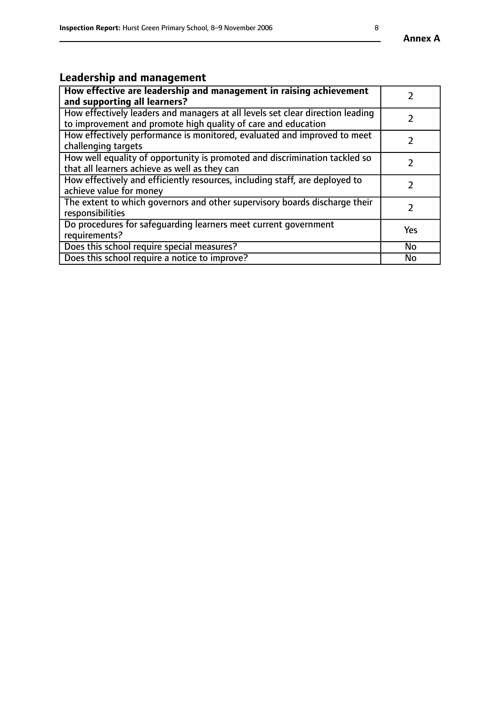# **Leadership and management**

| How effective are leadership and management in raising achievement<br>and supporting all learners?                                              |               |
|-------------------------------------------------------------------------------------------------------------------------------------------------|---------------|
| How effectively leaders and managers at all levels set clear direction leading<br>to improvement and promote high quality of care and education |               |
| How effectively performance is monitored, evaluated and improved to meet<br>challenging targets                                                 | $\mathcal{L}$ |
| How well equality of opportunity is promoted and discrimination tackled so<br>that all learners achieve as well as they can                     |               |
| How effectively and efficiently resources, including staff, are deployed to<br>achieve value for money                                          | $\mathcal{P}$ |
| The extent to which governors and other supervisory boards discharge their<br>responsibilities                                                  |               |
| Do procedures for safequarding learners meet current government<br>requirements?                                                                | Yes           |
| Does this school require special measures?                                                                                                      | No            |
| Does this school require a notice to improve?                                                                                                   | <b>No</b>     |